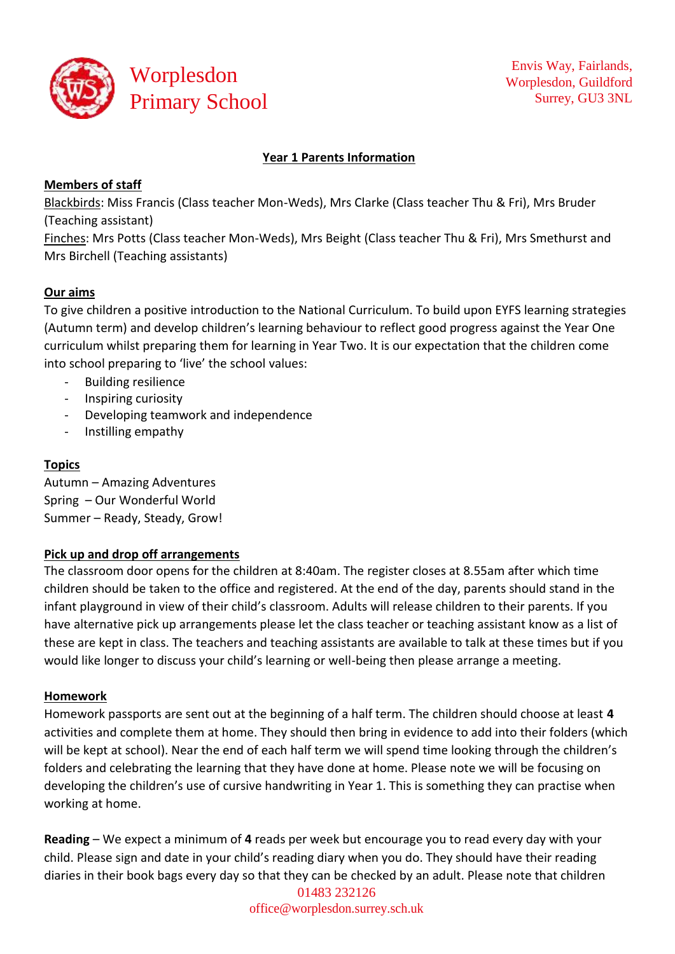

## **Year 1 Parents Information**

## **Members of staff**

Blackbirds: Miss Francis (Class teacher Mon-Weds), Mrs Clarke (Class teacher Thu & Fri), Mrs Bruder (Teaching assistant)

Finches: Mrs Potts (Class teacher Mon-Weds), Mrs Beight (Class teacher Thu & Fri), Mrs Smethurst and Mrs Birchell (Teaching assistants)

# **Our aims**

To give children a positive introduction to the National Curriculum. To build upon EYFS learning strategies (Autumn term) and develop children's learning behaviour to reflect good progress against the Year One curriculum whilst preparing them for learning in Year Two. It is our expectation that the children come into school preparing to 'live' the school values:

- Building resilience
- Inspiring curiosity
- Developing teamwork and independence
- Instilling empathy

# **Topics**

Autumn – Amazing Adventures Spring – Our Wonderful World Summer – Ready, Steady, Grow!

#### **Pick up and drop off arrangements**

The classroom door opens for the children at 8:40am. The register closes at 8.55am after which time children should be taken to the office and registered. At the end of the day, parents should stand in the infant playground in view of their child's classroom. Adults will release children to their parents. If you have alternative pick up arrangements please let the class teacher or teaching assistant know as a list of these are kept in class. The teachers and teaching assistants are available to talk at these times but if you would like longer to discuss your child's learning or well-being then please arrange a meeting.

#### **Homework**

Homework passports are sent out at the beginning of a half term. The children should choose at least **4** activities and complete them at home. They should then bring in evidence to add into their folders (which will be kept at school). Near the end of each half term we will spend time looking through the children's folders and celebrating the learning that they have done at home. Please note we will be focusing on developing the children's use of cursive handwriting in Year 1. This is something they can practise when working at home.

**Reading** – We expect a minimum of **4** reads per week but encourage you to read every day with your child. Please sign and date in your child's reading diary when you do. They should have their reading diaries in their book bags every day so that they can be checked by an adult. Please note that children

01483 232126 [office@worplesdon.surrey.sch.uk](mailto:office@worplesdon.surrey.sch.uk)